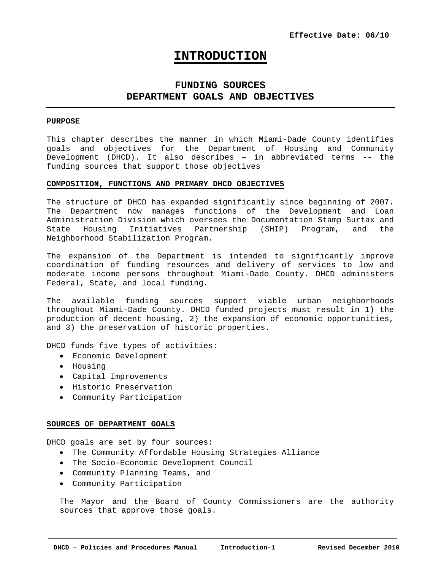# **INTRODUCTION**

## **FUNDING SOURCES DEPARTMENT GOALS AND OBJECTIVES**

#### **PURPOSE**

This chapter describes the manner in which Miami-Dade County identifies goals and objectives for the Department of Housing and Community Development (DHCD). It also describes – in abbreviated terms -- the funding sources that support those objectives

#### **COMPOSITION, FUNCTIONS AND PRIMARY DHCD OBJECTIVES**

The structure of DHCD has expanded significantly since beginning of 2007. The Department now manages functions of the Development and Loan Administration Division which oversees the Documentation Stamp Surtax and State Housing Initiatives Partnership (SHIP) Program, and the Neighborhood Stabilization Program.

The expansion of the Department is intended to significantly improve coordination of funding resources and delivery of services to low and moderate income persons throughout Miami-Dade County. DHCD administers Federal, State, and local funding.

The available funding sources support viable urban neighborhoods throughout Miami-Dade County. DHCD funded projects must result in 1) the production of decent housing, 2) the expansion of economic opportunities, and 3) the preservation of historic properties**.** 

DHCD funds five types of activities:

- Economic Development
- Housing
- Capital Improvements
- Historic Preservation
- Community Participation

## **SOURCES OF DEPARTMENT GOALS**

DHCD goals are set by four sources:

- The Community Affordable Housing Strategies Alliance
- The Socio-Economic Development Council
- Community Planning Teams, and
- Community Participation

The Mayor and the Board of County Commissioners are the authority sources that approve those goals.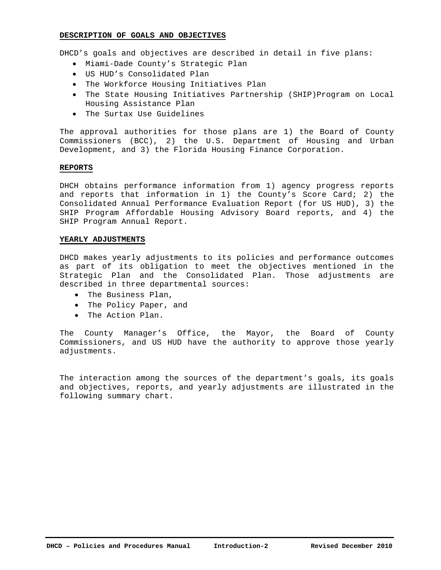## **DESCRIPTION OF GOALS AND OBJECTIVES**

DHCD's goals and objectives are described in detail in five plans:

- Miami-Dade County's Strategic Plan
- US HUD's Consolidated Plan
- The Workforce Housing Initiatives Plan
- The State Housing Initiatives Partnership (SHIP)Program on Local Housing Assistance Plan
- The Surtax Use Guidelines

The approval authorities for those plans are 1) the Board of County Commissioners (BCC), 2) the U.S. Department of Housing and Urban Development, and 3) the Florida Housing Finance Corporation.

## **REPORTS**

DHCH obtains performance information from 1) agency progress reports and reports that information in 1) the County's Score Card; 2) the Consolidated Annual Performance Evaluation Report (for US HUD), 3) the SHIP Program Affordable Housing Advisory Board reports, and 4) the SHIP Program Annual Report.

## **YEARLY ADJUSTMENTS**

DHCD makes yearly adjustments to its policies and performance outcomes as part of its obligation to meet the objectives mentioned in the Strategic Plan and the Consolidated Plan. Those adjustments are described in three departmental sources:

- The Business Plan,
- The Policy Paper, and
- The Action Plan.

The County Manager's Office, the Mayor, the Board of County Commissioners, and US HUD have the authority to approve those yearly adjustments.

The interaction among the sources of the department's goals, its goals and objectives, reports, and yearly adjustments are illustrated in the following summary chart.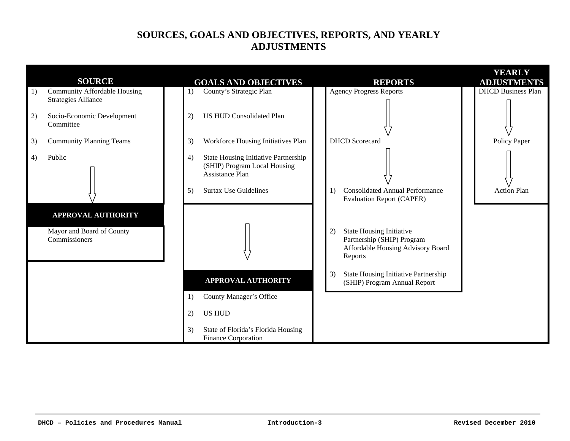# **SOURCES, GOALS AND OBJECTIVES, REPORTS, AND YEARLY ADJUSTMENTS**

|    |                                                                   |                                                                                                                                                   |                                                                                                                     | <b>YEARLY</b>             |
|----|-------------------------------------------------------------------|---------------------------------------------------------------------------------------------------------------------------------------------------|---------------------------------------------------------------------------------------------------------------------|---------------------------|
|    | <b>SOURCE</b>                                                     | <b>GOALS AND OBJECTIVES</b>                                                                                                                       | <b>REPORTS</b>                                                                                                      | <b>ADJUSTMENTS</b>        |
| 1) | <b>Community Affordable Housing</b><br><b>Strategies Alliance</b> | County's Strategic Plan<br>$\left( \right)$                                                                                                       | <b>Agency Progress Reports</b>                                                                                      | <b>DHCD Business Plan</b> |
| 2) | Socio-Economic Development<br>Committee                           | <b>US HUD Consolidated Plan</b><br>2)                                                                                                             |                                                                                                                     |                           |
| 3) | <b>Community Planning Teams</b>                                   | Workforce Housing Initiatives Plan<br>3)                                                                                                          | <b>DHCD</b> Scorecard                                                                                               | Policy Paper              |
| 4) | Public                                                            | <b>State Housing Initiative Partnership</b><br>4)<br>(SHIP) Program Local Housing<br><b>Assistance Plan</b><br><b>Surtax Use Guidelines</b><br>5) | <b>Consolidated Annual Performance</b><br>1)                                                                        | Action Plan               |
|    |                                                                   |                                                                                                                                                   | <b>Evaluation Report (CAPER)</b>                                                                                    |                           |
|    | <b>APPROVAL AUTHORITY</b>                                         |                                                                                                                                                   |                                                                                                                     |                           |
|    | Mayor and Board of County<br>Commissioners                        |                                                                                                                                                   | <b>State Housing Initiative</b><br>2)<br>Partnership (SHIP) Program<br>Affordable Housing Advisory Board<br>Reports |                           |
|    |                                                                   | <b>APPROVAL AUTHORITY</b>                                                                                                                         | State Housing Initiative Partnership<br>3)<br>(SHIP) Program Annual Report                                          |                           |
|    |                                                                   | County Manager's Office<br>1)                                                                                                                     |                                                                                                                     |                           |
|    |                                                                   | <b>US HUD</b><br>2)                                                                                                                               |                                                                                                                     |                           |
|    |                                                                   | 3)<br>State of Florida's Florida Housing<br>Finance Corporation                                                                                   |                                                                                                                     |                           |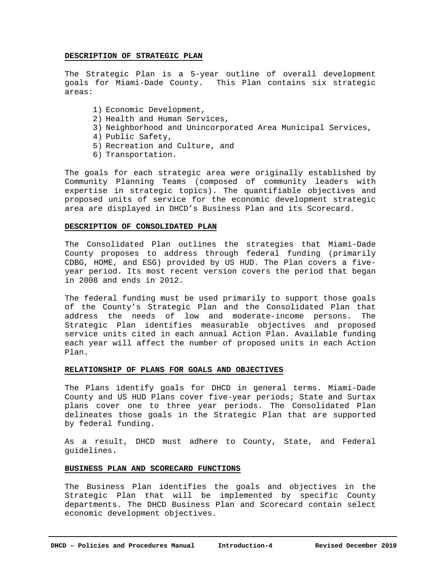## **DESCRIPTION OF STRATEGIC PLAN**

The Strategic Plan is a 5-year outline of overall development goals for Miami-Dade County. This Plan contains six strategic areas:

- 1) Economic Development,
- 2) Health and Human Services,
- 3) Neighborhood and Unincorporated Area Municipal Services,
- 4) Public Safety,
- 5) Recreation and Culture, and
- 6) Transportation.

The goals for each strategic area were originally established by Community Planning Teams (composed of community leaders with expertise in strategic topics). The quantifiable objectives and proposed units of service for the economic development strategic area are displayed in DHCD's Business Plan and its Scorecard.

## **DESCRIPTION OF CONSOLIDATED PLAN**

The Consolidated Plan outlines the strategies that Miami-Dade County proposes to address through federal funding (primarily CDBG, HOME, and ESG) provided by US HUD. The Plan covers a fiveyear period. Its most recent version covers the period that began in 2008 and ends in 2012.

The federal funding must be used primarily to support those goals of the County's Strategic Plan and the Consolidated Plan that address the needs of low and moderate-income persons. The Strategic Plan identifies measurable objectives and proposed service units cited in each annual Action Plan. Available funding each year will affect the number of proposed units in each Action Plan.

## **RELATIONSHIP OF PLANS FOR GOALS AND OBJECTIVES**

The Plans identify goals for DHCD in general terms. Miami-Dade County and US HUD Plans cover five-year periods; State and Surtax plans cover one to three year periods. The Consolidated Plan delineates those goals in the Strategic Plan that are supported by federal funding.

As a result, DHCD must adhere to County, State, and Federal guidelines**.** 

## **BUSINESS PLAN AND SCORECARD FUNCTIONS**

The Business Plan identifies the goals and objectives in the Strategic Plan that will be implemented by specific County departments. The DHCD Business Plan and Scorecard contain select economic development objectives.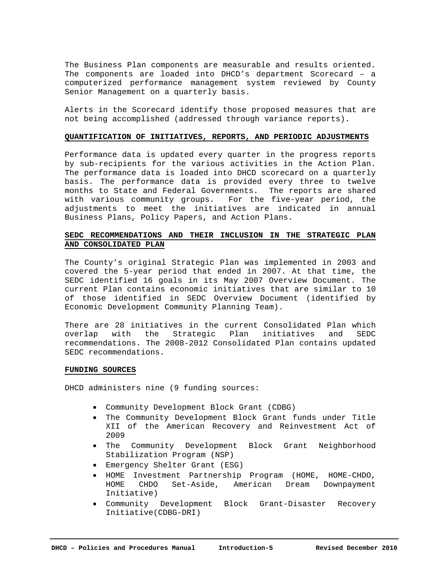The Business Plan components are measurable and results oriented. The components are loaded into DHCD's department Scorecard – a computerized performance management system reviewed by County Senior Management on a quarterly basis.

Alerts in the Scorecard identify those proposed measures that are not being accomplished (addressed through variance reports).

## **QUANTIFICATION OF INITIATIVES, REPORTS, AND PERIODIC ADJUSTMENTS**

Performance data is updated every quarter in the progress reports by sub-recipients for the various activities in the Action Plan. The performance data is loaded into DHCD scorecard on a quarterly basis. The performance data is provided every three to twelve months to State and Federal Governments. The reports are shared with various community groups. For the five-year period, the adjustments to meet the initiatives are indicated in annual Business Plans, Policy Papers, and Action Plans.

## **SEDC RECOMMENDATIONS AND THEIR INCLUSION IN THE STRATEGIC PLAN AND CONSOLIDATED PLAN**

The County's original Strategic Plan was implemented in 2003 and covered the 5-year period that ended in 2007. At that time, the SEDC identified 16 goals in its May 2007 Overview Document. The current Plan contains economic initiatives that are similar to 10 of those identified in SEDC Overview Document (identified by Economic Development Community Planning Team).

There are 28 initiatives in the current Consolidated Plan which overlap with the Strategic Plan initiatives and SEDC recommendations. The 2008-2012 Consolidated Plan contains updated SEDC recommendations.

## **FUNDING SOURCES**

DHCD administers nine (9 funding sources:

- Community Development Block Grant (CDBG)
- The Community Development Block Grant funds under Title XII of the American Recovery and Reinvestment Act of 2009
- The Community Development Block Grant Neighborhood Stabilization Program (NSP)
- Emergency Shelter Grant (ESG)
- HOME Investment Partnership Program (HOME, HOME-CHDO, HOME CHDO Set-Aside, American Dream Downpayment Initiative)
- Community Development Block Grant-Disaster Recovery Initiative(CDBG-DRI)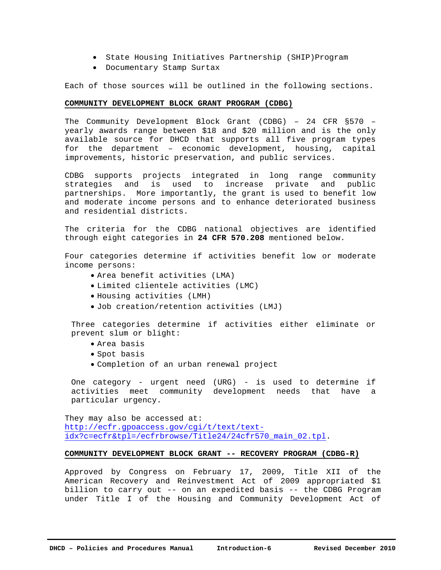- State Housing Initiatives Partnership (SHIP)Program
- Documentary Stamp Surtax

Each of those sources will be outlined in the following sections.

## **COMMUNITY DEVELOPMENT BLOCK GRANT PROGRAM (CDBG)**

The Community Development Block Grant (CDBG) – 24 CFR §570 – yearly awards range between \$18 and \$20 million and is the only available source for DHCD that supports all five program types for the department – economic development, housing, capital improvements, historic preservation, and public services.

CDBG supports projects integrated in long range community strategies and is used to increase private and public partnerships. More importantly, the grant is used to benefit low and moderate income persons and to enhance deteriorated business and residential districts.

The criteria for the CDBG national objectives are identified through eight categories in **24 CFR 570.208** mentioned below.

Four categories determine if activities benefit low or moderate income persons:

- Area benefit activities (LMA)
- Limited clientele activities (LMC)
- Housing activities (LMH)
- Job creation/retention activities (LMJ)

Three categories determine if activities either eliminate or prevent slum or blight:

- Area basis
- Spot basis
- Completion of an urban renewal project

One category - urgent need (URG) - is used to determine if activities meet community development needs that have a particular urgency.

They may also be accessed at: http://ecfr.gpoaccess.gov/cgi/t/text/textidx?c=ecfr&tpl=/ecfrbrowse/Title24/24cfr570\_main\_02.tpl.

## **COMMUNITY DEVELOPMENT BLOCK GRANT -- RECOVERY PROGRAM (CDBG-R)**

Approved by Congress on February 17, 2009, Title XII of the American Recovery and Reinvestment Act of 2009 appropriated \$1 billion to carry out -- on an expedited basis -- the CDBG Program under Title I of the Housing and Community Development Act of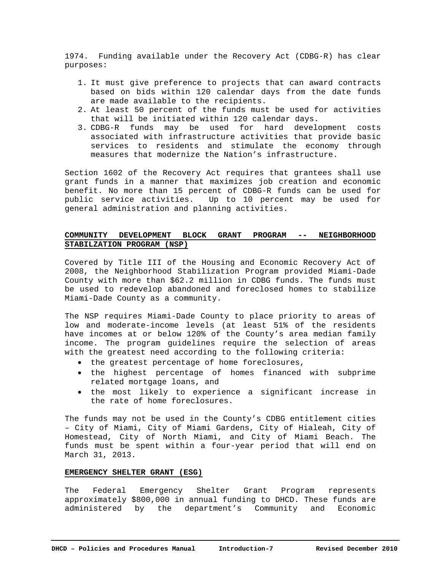1974. Funding available under the Recovery Act (CDBG-R) has clear purposes:

- 1. It must give preference to projects that can award contracts based on bids within 120 calendar days from the date funds are made available to the recipients.
- 2. At least 50 percent of the funds must be used for activities that will be initiated within 120 calendar days.
- 3. CDBG-R funds may be used for hard development costs associated with infrastructure activities that provide basic services to residents and stimulate the economy through measures that modernize the Nation's infrastructure.

Section 1602 of the Recovery Act requires that grantees shall use grant funds in a manner that maximizes job creation and economic benefit. No more than 15 percent of CDBG-R funds can be used for public service activities. Up to 10 percent may be used for general administration and planning activities.

## **COMMUNITY DEVELOPMENT BLOCK GRANT PROGRAM -- NEIGHBORHOOD STABILZATION PROGRAM (NSP)**

Covered by Title III of the Housing and Economic Recovery Act of 2008, the Neighborhood Stabilization Program provided Miami-Dade County with more than \$62.2 million in CDBG funds. The funds must be used to redevelop abandoned and foreclosed homes to stabilize Miami-Dade County as a community.

The NSP requires Miami-Dade County to place priority to areas of low and moderate-income levels (at least 51% of the residents have incomes at or below 120% of the County's area median family income. The program guidelines require the selection of areas with the greatest need according to the following criteria:

- the greatest percentage of home foreclosures,
- the highest percentage of homes financed with subprime related mortgage loans, and
- the most likely to experience a significant increase in the rate of home foreclosures.

The funds may not be used in the County's CDBG entitlement cities – City of Miami, City of Miami Gardens, City of Hialeah, City of Homestead, City of North Miami, and City of Miami Beach. The funds must be spent within a four-year period that will end on March 31, 2013.

## **EMERGENCY SHELTER GRANT (ESG)**

The Federal Emergency Shelter Grant Program represents approximately \$800,000 in annual funding to DHCD. These funds are administered by the department's Community and Economic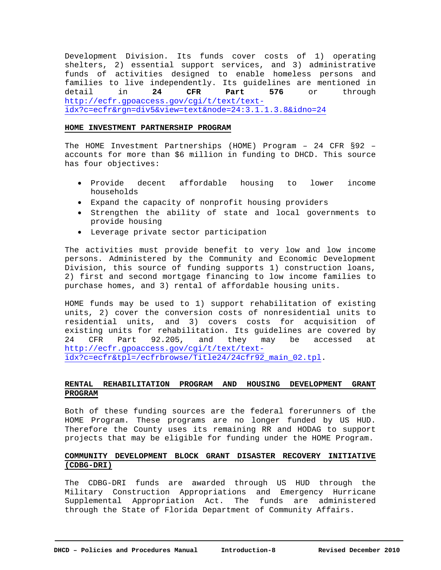Development Division. Its funds cover costs of 1) operating shelters, 2) essential support services, and 3) administrative funds of activities designed to enable homeless persons and families to live independently. Its guidelines are mentioned in detail in **24 CFR Part 576** or through http://ecfr.gpoaccess.gov/cgi/t/text/textidx?c=ecfr&rgn=div5&view=text&node=24:3.1.1.3.8&idno=24

## **HOME INVESTMENT PARTNERSHIP PROGRAM**

The HOME Investment Partnerships (HOME) Program – 24 CFR §92 – accounts for more than \$6 million in funding to DHCD. This source has four objectives:

- Provide decent affordable housing to lower income households
- Expand the capacity of nonprofit housing providers
- Strengthen the ability of state and local governments to provide housing
- Leverage private sector participation

The activities must provide benefit to very low and low income persons. Administered by the Community and Economic Development Division, this source of funding supports 1) construction loans, 2) first and second mortgage financing to low income families to purchase homes, and 3) rental of affordable housing units.

HOME funds may be used to 1) support rehabilitation of existing units, 2) cover the conversion costs of nonresidential units to residential units, and 3) covers costs for acquisition of existing units for rehabilitation. Its guidelines are covered by 24 CFR Part 92.205, and they may be accessed at http://ecfr.gpoaccess.gov/cgi/t/text/textidx?c=ecfr&tpl=/ecfrbrowse/Title24/24cfr92\_main\_02.tpl.

## **RENTAL REHABILITATION PROGRAM AND HOUSING DEVELOPMENT GRANT PROGRAM**

Both of these funding sources are the federal forerunners of the HOME Program. These programs are no longer funded by US HUD. Therefore the County uses its remaining RR and HODAG to support projects that may be eligible for funding under the HOME Program.

## **COMMUNITY DEVELOPMENT BLOCK GRANT DISASTER RECOVERY INITIATIVE (CDBG-DRI)**

The CDBG-DRI funds are awarded through US HUD through the Military Construction Appropriations and Emergency Hurricane Supplemental Appropriation Act. The funds are administered through the State of Florida Department of Community Affairs.